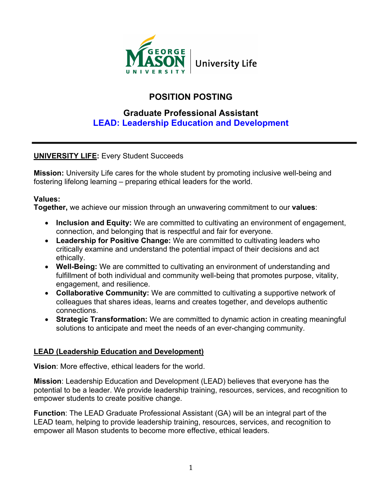

# **POSITION POSTING**

## **Graduate Professional Assistant LEAD: Leadership Education and Development**

## **UNIVERSITY LIFE:** Every Student Succeeds

**Mission:** University Life cares for the whole student by promoting inclusive well-being and fostering lifelong learning – preparing ethical leaders for the world.

#### **Values:**

**Together,** we achieve our mission through an unwavering commitment to our **values**:

- **Inclusion and Equity:** We are committed to cultivating an environment of engagement, connection, and belonging that is respectful and fair for everyone.
- **Leadership for Positive Change:** We are committed to cultivating leaders who critically examine and understand the potential impact of their decisions and act ethically.
- **Well-Being:** We are committed to cultivating an environment of understanding and fulfillment of both individual and community well-being that promotes purpose, vitality, engagement, and resilience.
- **Collaborative Community:** We are committed to cultivating a supportive network of colleagues that shares ideas, learns and creates together, and develops authentic connections.
- **Strategic Transformation:** We are committed to dynamic action in creating meaningful solutions to anticipate and meet the needs of an ever-changing community.

### **LEAD (Leadership Education and Development)**

**Vision**: More effective, ethical leaders for the world.

**Mission**: Leadership Education and Development (LEAD) believes that everyone has the potential to be a leader. We provide leadership training, resources, services, and recognition to empower students to create positive change.

**Function**: The LEAD Graduate Professional Assistant (GA) will be an integral part of the LEAD team, helping to provide leadership training, resources, services, and recognition to empower all Mason students to become more effective, ethical leaders.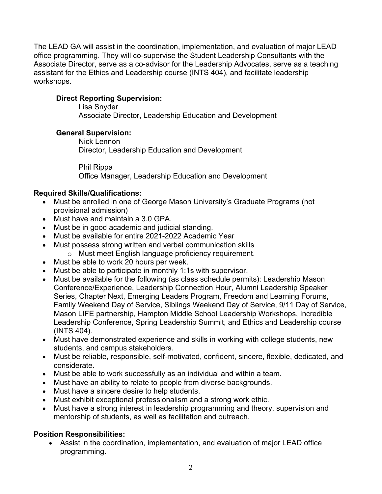The LEAD GA will assist in the coordination, implementation, and evaluation of major LEAD office programming. They will co-supervise the Student Leadership Consultants with the Associate Director, serve as a co-advisor for the Leadership Advocates, serve as a teaching assistant for the Ethics and Leadership course (INTS 404), and facilitate leadership workshops.

#### **Direct Reporting Supervision:**

Lisa Snyder Associate Director, Leadership Education and Development

#### **General Supervision:**

Nick Lennon Director, Leadership Education and Development

Phil Rippa Office Manager, Leadership Education and Development

#### **Required Skills/Qualifications:**

- Must be enrolled in one of George Mason University's Graduate Programs (not provisional admission)
- Must have and maintain a 3.0 GPA.
- Must be in good academic and judicial standing.
- Must be available for entire 2021-2022 Academic Year
- Must possess strong written and verbal communication skills o Must meet English language proficiency requirement.
- Must be able to work 20 hours per week.
- Must be able to participate in monthly 1:1s with supervisor.
- Must be available for the following (as class schedule permits): Leadership Mason Conference/Experience, Leadership Connection Hour, Alumni Leadership Speaker Series, Chapter Next, Emerging Leaders Program, Freedom and Learning Forums, Family Weekend Day of Service, Siblings Weekend Day of Service, 9/11 Day of Service, Mason LIFE partnership, Hampton Middle School Leadership Workshops, Incredible Leadership Conference, Spring Leadership Summit, and Ethics and Leadership course (INTS 404)*.*
- Must have demonstrated experience and skills in working with college students, new students, and campus stakeholders.
- Must be reliable, responsible, self-motivated, confident, sincere, flexible, dedicated, and considerate.
- Must be able to work successfully as an individual and within a team.
- Must have an ability to relate to people from diverse backgrounds.
- Must have a sincere desire to help students.
- Must exhibit exceptional professionalism and a strong work ethic.
- Must have a strong interest in leadership programming and theory, supervision and mentorship of students, as well as facilitation and outreach.

#### **Position Responsibilities:**

• Assist in the coordination, implementation, and evaluation of major LEAD office programming.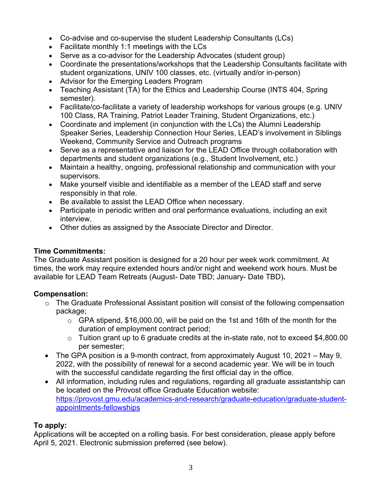- Co-advise and co-supervise the student Leadership Consultants (LCs)
- Facilitate monthly 1:1 meetings with the LCs
- Serve as a co-advisor for the Leadership Advocates (student group)
- Coordinate the presentations/workshops that the Leadership Consultants facilitate with student organizations, UNIV 100 classes, etc. (virtually and/or in-person)
- Advisor for the Emerging Leaders Program
- Teaching Assistant (TA) for the Ethics and Leadership Course (INTS 404, Spring semester).
- Facilitate/co-facilitate a variety of leadership workshops for various groups (e.g. UNIV 100 Class, RA Training, Patriot Leader Training, Student Organizations, etc.)
- Coordinate and implement (in conjunction with the LCs) the Alumni Leadership Speaker Series, Leadership Connection Hour Series, LEAD's involvement in Siblings Weekend, Community Service and Outreach programs
- Serve as a representative and liaison for the LEAD Office through collaboration with departments and student organizations (e.g., Student Involvement, etc.)
- Maintain a healthy, ongoing, professional relationship and communication with your supervisors.
- Make yourself visible and identifiable as a member of the LEAD staff and serve responsibly in that role.
- Be available to assist the LEAD Office when necessary.
- Participate in periodic written and oral performance evaluations, including an exit interview.
- Other duties as assigned by the Associate Director and Director.

#### **Time Commitments:**

The Graduate Assistant position is designed for a 20 hour per week work commitment. At times, the work may require extended hours and/or night and weekend work hours. Must be available for LEAD Team Retreats (August- Date TBD; January- Date TBD)**.**

#### **Compensation:**

- o The Graduate Professional Assistant position will consist of the following compensation package;
	- o GPA stipend, \$16,000.00, will be paid on the 1st and 16th of the month for the duration of employment contract period;
	- o Tuition grant up to 6 graduate credits at the in-state rate, not to exceed \$4,800.00 per semester;
- The GPA position is a 9-month contract, from approximately August 10, 2021 May 9, 2022, with the possibility of renewal for a second academic year. We will be in touch with the successful candidate regarding the first official day in the office.
- All information, including rules and regulations, regarding all graduate assistantship can be located on the Provost office Graduate Education website: https://provost.gmu.edu/academics-and-research/graduate-education/graduate-studentappointments-fellowships

### **To apply:**

Applications will be accepted on a rolling basis. For best consideration, please apply before April 5, 2021. Electronic submission preferred (see below).